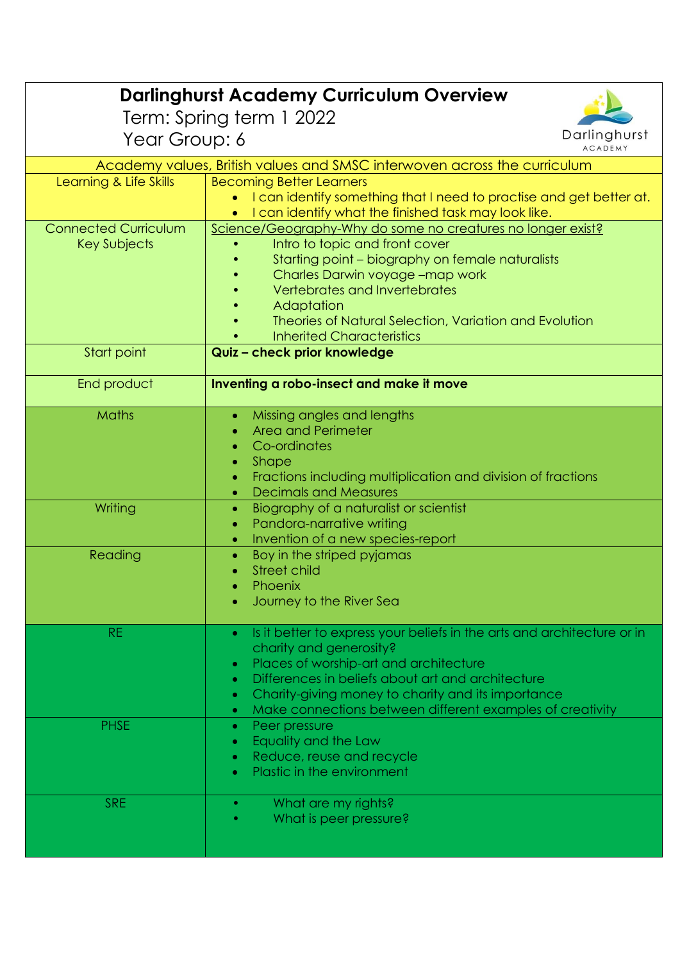| <b>Darlinghurst Academy Curriculum Overview</b>                          |                                                                                                                                   |  |
|--------------------------------------------------------------------------|-----------------------------------------------------------------------------------------------------------------------------------|--|
| Term: Spring term 1 2022                                                 |                                                                                                                                   |  |
| Year Group: 6                                                            | Darlinghurst<br>ACADEMY                                                                                                           |  |
| Academy values, British values and SMSC interwoven across the curriculum |                                                                                                                                   |  |
| Learning & Life Skills                                                   | <b>Becoming Better Learners</b>                                                                                                   |  |
|                                                                          | I can identify something that I need to practise and get better at.                                                               |  |
|                                                                          | I can identify what the finished task may look like.                                                                              |  |
| <b>Connected Curriculum</b>                                              | Science/Geography-Why do some no creatures no longer exist?                                                                       |  |
| Key Subjects                                                             | Intro to topic and front cover                                                                                                    |  |
|                                                                          | Starting point - biography on female naturalists                                                                                  |  |
|                                                                          | Charles Darwin voyage -map work<br>Vertebrates and Invertebrates                                                                  |  |
|                                                                          | Adaptation                                                                                                                        |  |
|                                                                          | Theories of Natural Selection, Variation and Evolution                                                                            |  |
|                                                                          | <b>Inherited Characteristics</b>                                                                                                  |  |
| Start point                                                              | Quiz - check prior knowledge                                                                                                      |  |
|                                                                          |                                                                                                                                   |  |
| End product                                                              | Inventing a robo-insect and make it move                                                                                          |  |
| Maths                                                                    | Missing angles and lengths                                                                                                        |  |
|                                                                          | $\bullet$<br><b>Area and Perimeter</b>                                                                                            |  |
|                                                                          | Co-ordinates                                                                                                                      |  |
|                                                                          | <b>Shape</b>                                                                                                                      |  |
|                                                                          | Fractions including multiplication and division of fractions                                                                      |  |
|                                                                          | <b>Decimals and Measures</b><br>$\bullet$                                                                                         |  |
| Writing                                                                  | Biography of a naturalist or scientist<br>$\bullet$                                                                               |  |
|                                                                          | Pandora-narrative writing<br>۰                                                                                                    |  |
|                                                                          | Invention of a new species-report<br>$\bullet$                                                                                    |  |
| Reading                                                                  | Boy in the striped pyjamas<br>$\bullet$<br>Street child                                                                           |  |
|                                                                          | Phoenix                                                                                                                           |  |
|                                                                          | Journey to the River Sea                                                                                                          |  |
|                                                                          |                                                                                                                                   |  |
| <b>RE</b>                                                                | Is it better to express your beliefs in the arts and architecture or in<br>$\bullet$                                              |  |
|                                                                          | charity and generosity?                                                                                                           |  |
|                                                                          | Places of worship-art and architecture<br>$\bullet$                                                                               |  |
|                                                                          | Differences in beliefs about art and architecture<br>$\bullet$                                                                    |  |
|                                                                          | Charity-giving money to charity and its importance<br>۰<br>Make connections between different examples of creativity<br>$\bullet$ |  |
| <b>PHSE</b>                                                              | Peer pressure<br>$\bullet$                                                                                                        |  |
|                                                                          | Equality and the Law<br>۰                                                                                                         |  |
|                                                                          | Reduce, reuse and recycle<br>$\bullet$                                                                                            |  |
|                                                                          | Plastic in the environment<br>$\bullet$                                                                                           |  |
|                                                                          |                                                                                                                                   |  |
| <b>SRE</b>                                                               | What are my rights?                                                                                                               |  |
|                                                                          | What is peer pressure?                                                                                                            |  |
|                                                                          |                                                                                                                                   |  |